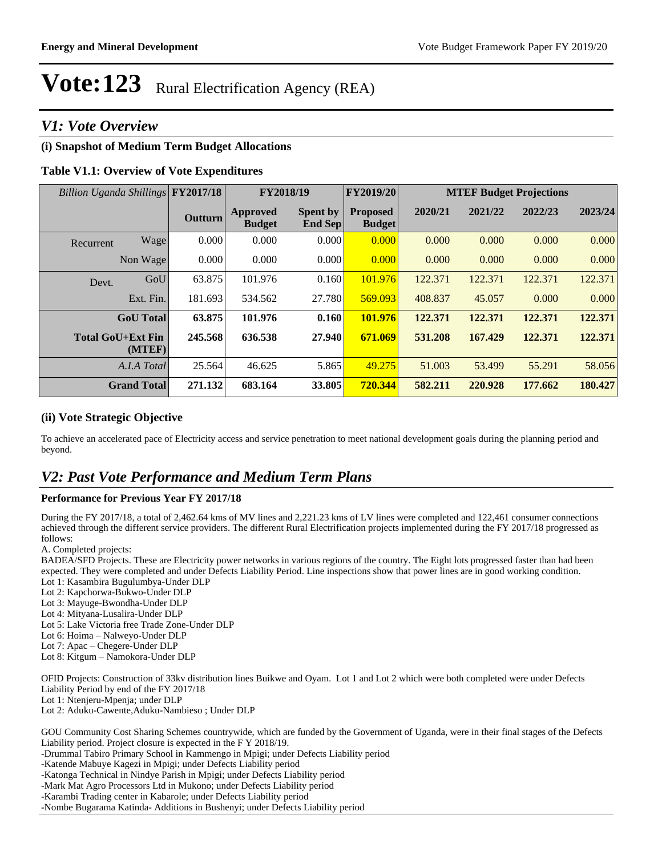### *V1: Vote Overview*

#### **(i) Snapshot of Medium Term Budget Allocations**

#### **Table V1.1: Overview of Vote Expenditures**

| Billion Uganda Shillings FY2017/18 |         |                                  | FY2018/19                         | FY2019/20                        | <b>MTEF Budget Projections</b> |         |         |         |
|------------------------------------|---------|----------------------------------|-----------------------------------|----------------------------------|--------------------------------|---------|---------|---------|
|                                    | Outturn | <b>Approved</b><br><b>Budget</b> | <b>Spent by</b><br><b>End Sep</b> | <b>Proposed</b><br><b>Budget</b> | 2020/21                        | 2021/22 | 2022/23 | 2023/24 |
| Wage<br>Recurrent                  | 0.000   | 0.000                            | 0.000                             | 0.000                            | 0.000                          | 0.000   | 0.000   | 0.000   |
| Non Wage                           | 0.000   | 0.000                            | 0.000                             | 0.000                            | 0.000                          | 0.000   | 0.000   | 0.000   |
| GoU<br>Devt.                       | 63.875  | 101.976                          | 0.160                             | 101.976                          | 122.371                        | 122.371 | 122.371 | 122.371 |
| Ext. Fin.                          | 181.693 | 534.562                          | 27.780                            | 569.093                          | 408.837                        | 45.057  | 0.000   | 0.000   |
| <b>GoU</b> Total                   | 63.875  | 101.976                          | 0.160                             | 101.976                          | 122.371                        | 122.371 | 122.371 | 122.371 |
| <b>Total GoU+Ext Fin</b><br>(MTEF) | 245.568 | 636.538                          | 27.940                            | 671.069                          | 531.208                        | 167.429 | 122.371 | 122.371 |
| A.I.A Total                        | 25.564  | 46.625                           | 5.865                             | 49.275                           | 51.003                         | 53.499  | 55.291  | 58.056  |
| <b>Grand Total</b>                 | 271.132 | 683.164                          | 33.805                            | 720.344                          | 582.211                        | 220.928 | 177.662 | 180.427 |

#### **(ii) Vote Strategic Objective**

To achieve an accelerated pace of Electricity access and service penetration to meet national development goals during the planning period and beyond.

### *V2: Past Vote Performance and Medium Term Plans*

#### **Performance for Previous Year FY 2017/18**

During the FY 2017/18, a total of 2,462.64 kms of MV lines and 2,221.23 kms of LV lines were completed and 122,461 consumer connections achieved through the different service providers. The different Rural Electrification projects implemented during the FY 2017/18 progressed as follows:

A. Completed projects:

BADEA/SFD Projects. These are Electricity power networks in various regions of the country. The Eight lots progressed faster than had been expected. They were completed and under Defects Liability Period. Line inspections show that power lines are in good working condition.

Lot 1: Kasambira Bugulumbya-Under DLP

Lot 2: Kapchorwa-Bukwo-Under DLP Lot 3: Mayuge-Bwondha-Under DLP

Lot 4: Mityana-Lusalira-Under DLP

Lot 5: Lake Victoria free Trade Zone-Under DLP

Lot 6: Hoima - Nalweyo-Under DLP

Lot 7: Apac - Chegere-Under DLP

Lot 8: Kitgum - Namokora-Under DLP

OFID Projects: Construction of 33kv distribution lines Buikwe and Oyam. Lot 1 and Lot 2 which were both completed were under Defects Liability Period by end of the FY 2017/18

Lot 1: Ntenjeru-Mpenja; under DLP

Lot 2: Aduku-Cawente,Aduku-Nambieso ; Under DLP

GOU Community Cost Sharing Schemes countrywide, which are funded by the Government of Uganda, were in their final stages of the Defects Liability period. Project closure is expected in the F Y 2018/19.

-Drummal Tabiro Primary School in Kammengo in Mpigi; under Defects Liability period

-Katende Mabuye Kagezi in Mpigi; under Defects Liability period

-Katonga Technical in Nindye Parish in Mpigi; under Defects Liability period

-Mark Mat Agro Processors Ltd in Mukono; under Defects Liability period

-Karambi Trading center in Kabarole; under Defects Liability period

-Nombe Bugarama Katinda- Additions in Bushenyi; under Defects Liability period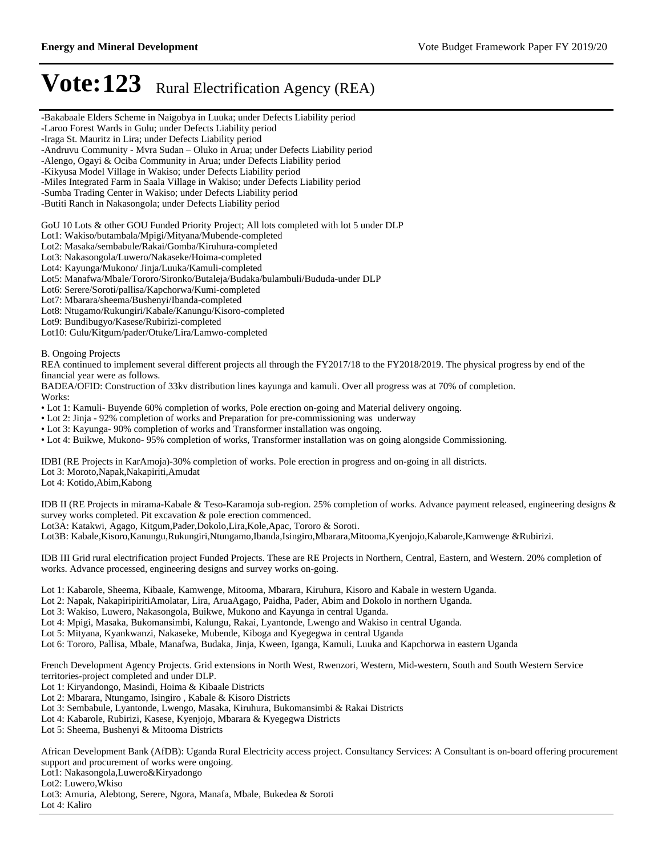-Bakabaale Elders Scheme in Naigobya in Luuka; under Defects Liability period -Laroo Forest Wards in Gulu; under Defects Liability period -Iraga St. Mauritz in Lira; under Defects Liability period -Andruvu Community - Mvra Sudan - Oluko in Arua; under Defects Liability period -Alengo, Ogayi & Ociba Community in Arua; under Defects Liability period -Kikyusa Model Village in Wakiso; under Defects Liability period -Miles Integrated Farm in Saala Village in Wakiso; under Defects Liability period -Sumba Trading Center in Wakiso; under Defects Liability period -Butiti Ranch in Nakasongola; under Defects Liability period GoU 10 Lots & other GOU Funded Priority Project; All lots completed with lot 5 under DLP Lot1: Wakiso/butambala/Mpigi/Mityana/Mubende-completed Lot2: Masaka/sembabule/Rakai/Gomba/Kiruhura-completed Lot3: Nakasongola/Luwero/Nakaseke/Hoima-completed Lot4: Kayunga/Mukono/ Jinja/Luuka/Kamuli-completed Lot5: Manafwa/Mbale/Tororo/Sironko/Butaleja/Budaka/bulambuli/Bududa-under DLP Lot6: Serere/Soroti/pallisa/Kapchorwa/Kumi-completed Lot7: Mbarara/sheema/Bushenyi/Ibanda-completed Lot8: Ntugamo/Rukungiri/Kabale/Kanungu/Kisoro-completed Lot9: Bundibugyo/Kasese/Rubirizi-completed Lot10: Gulu/Kitgum/pader/Otuke/Lira/Lamwo-completed B. Ongoing Projects REA continued to implement several different projects all through the FY2017/18 to the FY2018/2019. The physical progress by end of the financial year were as follows. BADEA/OFID: Construction of 33kv distribution lines kayunga and kamuli. Over all progress was at 70% of completion. Works: Lot 1: Kamuli- Buyende 60% completion of works, Pole erection on-going and Material delivery ongoing. Lot 2: Jinja - 92% completion of works and Preparation for pre-commissioning was underway Lot 3: Kayunga- 90% completion of works and Transformer installation was ongoing. Lot 4: Buikwe, Mukono- 95% completion of works, Transformer installation was on going alongside Commissioning. IDBI (RE Projects in KarAmoja)-30% completion of works. Pole erection in progress and on-going in all districts. Lot 3: Moroto,Napak,Nakapiriti,Amudat Lot 4: Kotido,Abim,Kabong IDB II (RE Projects in mirama-Kabale & Teso-Karamoja sub-region. 25% completion of works. Advance payment released, engineering designs & survey works completed. Pit excavation & pole erection commenced. Lot3A: Katakwi, Agago, Kitgum,Pader,Dokolo,Lira,Kole,Apac, Tororo & Soroti. Lot3B: Kabale,Kisoro,Kanungu,Rukungiri,Ntungamo,Ibanda,Isingiro,Mbarara,Mitooma,Kyenjojo,Kabarole,Kamwenge &Rubirizi. IDB III Grid rural electrification project Funded Projects. These are RE Projects in Northern, Central, Eastern, and Western. 20% completion of works. Advance processed, engineering designs and survey works on-going. Lot 1: Kabarole, Sheema, Kibaale, Kamwenge, Mitooma, Mbarara, Kiruhura, Kisoro and Kabale in western Uganda. Lot 2: Napak, NakapiripiritiAmolatar, Lira, AruaAgago, Paidha, Pader, Abim and Dokolo in northern Uganda. Lot 3: Wakiso, Luwero, Nakasongola, Buikwe, Mukono and Kayunga in central Uganda. Lot 4: Mpigi, Masaka, Bukomansimbi, Kalungu, Rakai, Lyantonde, Lwengo and Wakiso in central Uganda. Lot 5: Mityana, Kyankwanzi, Nakaseke, Mubende, Kiboga and Kyegegwa in central Uganda Lot 6: Tororo, Pallisa, Mbale, Manafwa, Budaka, Jinja, Kween, Iganga, Kamuli, Luuka and Kapchorwa in eastern Uganda French Development Agency Projects. Grid extensions in North West, Rwenzori, Western, Mid-western, South and South Western Service territories-project completed and under DLP. Lot 1: Kiryandongo, Masindi, Hoima & Kibaale Districts Lot 2: Mbarara, Ntungamo, Isingiro , Kabale & Kisoro Districts Lot 3: Sembabule, Lyantonde, Lwengo, Masaka, Kiruhura, Bukomansimbi & Rakai Districts Lot 4: Kabarole, Rubirizi, Kasese, Kyenjojo, Mbarara & Kyegegwa Districts Lot 5: Sheema, Bushenyi & Mitooma Districts

African Development Bank (AfDB): Uganda Rural Electricity access project. Consultancy Services: A Consultant is on-board offering procurement support and procurement of works were ongoing.

Lot1: Nakasongola,Luwero&Kiryadongo

Lot2: Luwero,Wkiso

Lot3: Amuria, Alebtong, Serere, Ngora, Manafa, Mbale, Bukedea & Soroti

Lot 4: Kaliro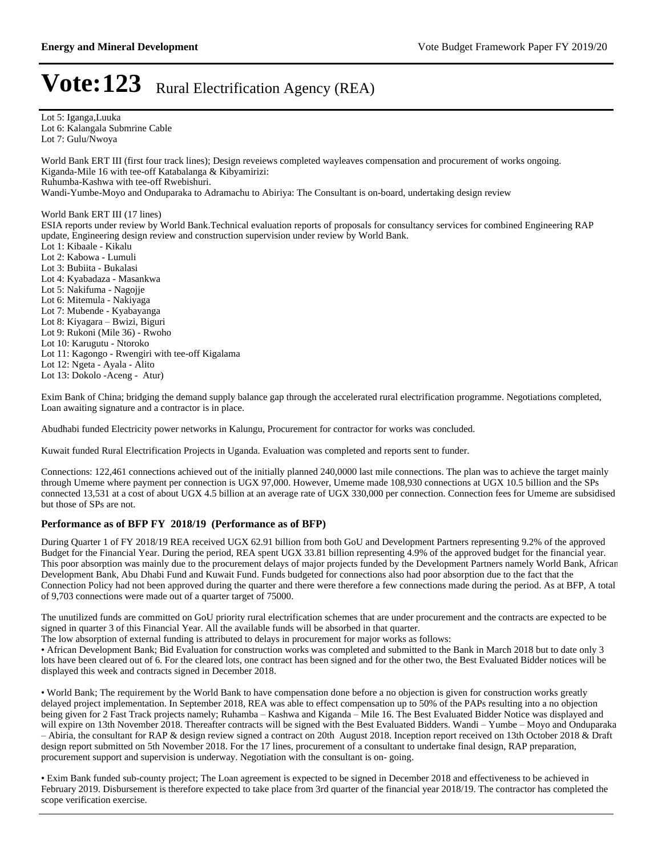Lot 5: Iganga,Luuka Lot 6: Kalangala Submrine Cable Lot 7: Gulu/Nwoya

World Bank ERT III (first four track lines); Design reveiews completed wayleaves compensation and procurement of works ongoing. Kiganda-Mile 16 with tee-off Katabalanga & Kibyamirizi:

Ruhumba-Kashwa with tee-off Rwebishuri.

Wandi-Yumbe-Moyo and Onduparaka to Adramachu to Abiriya: The Consultant is on-board, undertaking design review

#### World Bank ERT III (17 lines)

ESIA reports under review by World Bank.Technical evaluation reports of proposals for consultancy services for combined Engineering RAP update, Engineering design review and construction supervision under review by World Bank.

Lot 1: Kibaale - Kikalu Lot 2: Kabowa - Lumuli Lot 3: Bubiita - Bukalasi Lot 4: Kyabadaza - Masankwa Lot 5: Nakifuma - Nagojje Lot 6: Mitemula - Nakiyaga Lot 7: Mubende - Kyabayanga Lot 8: Kiyagara - Bwizi, Biguri Lot 9: Rukoni (Mile 36) - Rwoho Lot 10: Karugutu - Ntoroko Lot 11: Kagongo - Rwengiri with tee-off Kigalama Lot 12: Ngeta - Ayala - Alito Lot 13: Dokolo -Aceng - Atur)

Exim Bank of China; bridging the demand supply balance gap through the accelerated rural electrification programme. Negotiations completed, Loan awaiting signature and a contractor is in place.

Abudhabi funded Electricity power networks in Kalungu, Procurement for contractor for works was concluded.

Kuwait funded Rural Electrification Projects in Uganda. Evaluation was completed and reports sent to funder.

Connections: 122,461 connections achieved out of the initially planned 240,0000 last mile connections. The plan was to achieve the target mainly through Umeme where payment per connection is UGX 97,000. However, Umeme made 108,930 connections at UGX 10.5 billion and the SPs connected 13,531 at a cost of about UGX 4.5 billion at an average rate of UGX 330,000 per connection. Connection fees for Umeme are subsidised but those of SPs are not.

#### **Performance as of BFP FY 2018/19 (Performance as of BFP)**

During Quarter 1 of FY 2018/19 REA received UGX 62.91 billion from both GoU and Development Partners representing 9.2% of the approved Budget for the Financial Year. During the period, REA spent UGX 33.81 billion representing 4.9% of the approved budget for the financial year. This poor absorption was mainly due to the procurement delays of major projects funded by the Development Partners namely World Bank, African Development Bank, Abu Dhabi Fund and Kuwait Fund. Funds budgeted for connections also had poor absorption due to the fact that the Connection Policy had not been approved during the quarter and there were therefore a few connections made during the period. As at BFP, A total of 9,703 connections were made out of a quarter target of 75000.

The unutilized funds are committed on GoU priority rural electrification schemes that are under procurement and the contracts are expected to be signed in quarter 3 of this Financial Year. All the available funds will be absorbed in that quarter.

The low absorption of external funding is attributed to delays in procurement for major works as follows:

• African Development Bank; Bid Evaluation for construction works was completed and submitted to the Bank in March 2018 but to date only 3 lots have been cleared out of 6. For the cleared lots, one contract has been signed and for the other two, the Best Evaluated Bidder notices will be displayed this week and contracts signed in December 2018.

World Bank; The requirement by the World Bank to have compensation done before a no objection is given for construction works greatly delayed project implementation. In September 2018, REA was able to effect compensation up to 50% of the PAPs resulting into a no objection being given for 2 Fast Track projects namely; Ruhamba - Kashwa and Kiganda - Mile 16. The Best Evaluated Bidder Notice was displayed and will expire on 13th November 2018. Thereafter contracts will be signed with the Best Evaluated Bidders. Wandi - Yumbe - Moyo and Onduparaka  $-$ Abiria, the consultant for RAP & design review signed a contract on 20th August 2018. Inception report received on 13th October 2018 & Draft design report submitted on 5th November 2018. For the 17 lines, procurement of a consultant to undertake final design, RAP preparation, procurement support and supervision is underway. Negotiation with the consultant is on- going.

Exim Bank funded sub-county project; The Loan agreement is expected to be signed in December 2018 and effectiveness to be achieved in February 2019. Disbursement is therefore expected to take place from 3rd quarter of the financial year 2018/19. The contractor has completed the scope verification exercise.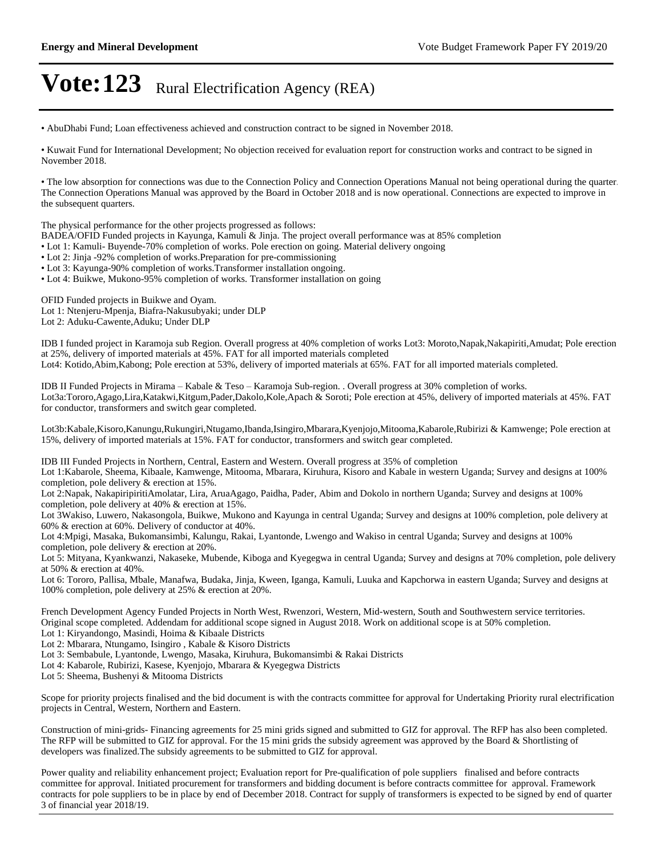AbuDhabi Fund; Loan effectiveness achieved and construction contract to be signed in November 2018.

• Kuwait Fund for International Development; No objection received for evaluation report for construction works and contract to be signed in November 2018.

The low absorption for connections was due to the Connection Policy and Connection Operations Manual not being operational during the quarter. The Connection Operations Manual was approved by the Board in October 2018 and is now operational. Connections are expected to improve in the subsequent quarters.

The physical performance for the other projects progressed as follows:

- BADEA/OFID Funded projects in Kayunga, Kamuli & Jinja. The project overall performance was at 85% completion
- Lot 1: Kamuli- Buyende-70% completion of works. Pole erection on going. Material delivery ongoing
- Lot 2: Jinja -92% completion of works.Preparation for pre-commissioning
- Lot 3: Kayunga-90% completion of works.Transformer installation ongoing.
- Lot 4: Buikwe, Mukono-95% completion of works. Transformer installation on going

OFID Funded projects in Buikwe and Oyam. Lot 1: Ntenjeru-Mpenja, Biafra-Nakusubyaki; under DLP Lot 2: Aduku-Cawente,Aduku; Under DLP

IDB I funded project in Karamoja sub Region. Overall progress at 40% completion of works Lot3: Moroto,Napak,Nakapiriti,Amudat; Pole erection at 25%, delivery of imported materials at 45%. FAT for all imported materials completed

Lot4: Kotido,Abim,Kabong; Pole erection at 53%, delivery of imported materials at 65%. FAT for all imported materials completed.

IDB II Funded Projects in Mirama - Kabale & Teso - Karamoja Sub-region. . Overall progress at 30% completion of works. Lot3a:Tororo,Agago,Lira,Katakwi,Kitgum,Pader,Dakolo,Kole,Apach & Soroti; Pole erection at 45%, delivery of imported materials at 45%. FAT for conductor, transformers and switch gear completed.

Lot3b:Kabale,Kisoro,Kanungu,Rukungiri,Ntugamo,Ibanda,Isingiro,Mbarara,Kyenjojo,Mitooma,Kabarole,Rubirizi & Kamwenge; Pole erection at 15%, delivery of imported materials at 15%. FAT for conductor, transformers and switch gear completed.

IDB III Funded Projects in Northern, Central, Eastern and Western. Overall progress at 35% of completion

Lot 1:Kabarole, Sheema, Kibaale, Kamwenge, Mitooma, Mbarara, Kiruhura, Kisoro and Kabale in western Uganda; Survey and designs at 100% completion, pole delivery & erection at 15%.

Lot 2:Napak, NakapiripiritiAmolatar, Lira, AruaAgago, Paidha, Pader, Abim and Dokolo in northern Uganda; Survey and designs at 100% completion, pole delivery at 40% & erection at 15%.

Lot 3Wakiso, Luwero, Nakasongola, Buikwe, Mukono and Kayunga in central Uganda; Survey and designs at 100% completion, pole delivery at 60% & erection at 60%. Delivery of conductor at 40%.

Lot 4:Mpigi, Masaka, Bukomansimbi, Kalungu, Rakai, Lyantonde, Lwengo and Wakiso in central Uganda; Survey and designs at 100% completion, pole delivery & erection at 20%.

Lot 5: Mityana, Kyankwanzi, Nakaseke, Mubende, Kiboga and Kyegegwa in central Uganda; Survey and designs at 70% completion, pole delivery at 50% & erection at 40%.

Lot 6: Tororo, Pallisa, Mbale, Manafwa, Budaka, Jinja, Kween, Iganga, Kamuli, Luuka and Kapchorwa in eastern Uganda; Survey and designs at 100% completion, pole delivery at 25% & erection at 20%.

French Development Agency Funded Projects in North West, Rwenzori, Western, Mid-western, South and Southwestern service territories. Original scope completed. Addendam for additional scope signed in August 2018. Work on additional scope is at 50% completion.

Lot 1: Kiryandongo, Masindi, Hoima & Kibaale Districts

Lot 2: Mbarara, Ntungamo, Isingiro , Kabale & Kisoro Districts

- Lot 3: Sembabule, Lyantonde, Lwengo, Masaka, Kiruhura, Bukomansimbi & Rakai Districts
- Lot 4: Kabarole, Rubirizi, Kasese, Kyenjojo, Mbarara & Kyegegwa Districts
- Lot 5: Sheema, Bushenyi & Mitooma Districts

Scope for priority projects finalised and the bid document is with the contracts committee for approval for Undertaking Priority rural electrification projects in Central, Western, Northern and Eastern.

Construction of mini-grids- Financing agreements for 25 mini grids signed and submitted to GIZ for approval. The RFP has also been completed. The RFP will be submitted to GIZ for approval. For the 15 mini grids the subsidy agreement was approved by the Board & Shortlisting of developers was finalized.The subsidy agreements to be submitted to GIZ for approval.

Power quality and reliability enhancement project; Evaluation report for Pre-qualification of pole suppliers finalised and before contracts committee for approval. Initiated procurement for transformers and bidding document is before contracts committee for approval. Framework contracts for pole suppliers to be in place by end of December 2018. Contract for supply of transformers is expected to be signed by end of quarter 3 of financial year 2018/19.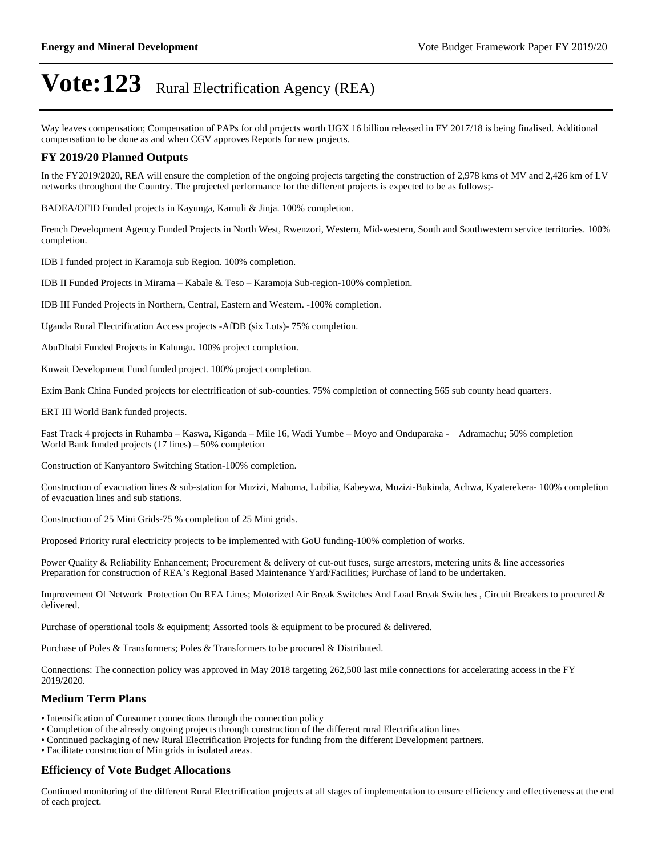Way leaves compensation; Compensation of PAPs for old projects worth UGX 16 billion released in FY 2017/18 is being finalised. Additional compensation to be done as and when CGV approves Reports for new projects.

#### **FY 2019/20 Planned Outputs**

In the FY2019/2020, REA will ensure the completion of the ongoing projects targeting the construction of 2,978 kms of MV and 2,426 km of LV networks throughout the Country. The projected performance for the different projects is expected to be as follows;-

BADEA/OFID Funded projects in Kayunga, Kamuli & Jinja. 100% completion.

French Development Agency Funded Projects in North West, Rwenzori, Western, Mid-western, South and Southwestern service territories. 100% completion.

IDB I funded project in Karamoja sub Region. 100% completion.

IDB II Funded Projects in Mirama  $-$  Kabale & Teso  $-$  Karamoja Sub-region-100% completion.

IDB III Funded Projects in Northern, Central, Eastern and Western. -100% completion.

Uganda Rural Electrification Access projects -AfDB (six Lots)- 75% completion.

AbuDhabi Funded Projects in Kalungu. 100% project completion.

Kuwait Development Fund funded project. 100% project completion.

Exim Bank China Funded projects for electrification of sub-counties. 75% completion of connecting 565 sub county head quarters.

ERT III World Bank funded projects.

Fast Track 4 projects in Ruhamba - Kaswa, Kiganda - Mile 16, Wadi Yumbe - Moyo and Onduparaka - Adramachu; 50% completion World Bank funded projects  $(17 \text{ lines}) - 50\%$  completion

Construction of Kanyantoro Switching Station-100% completion.

Construction of evacuation lines & sub-station for Muzizi, Mahoma, Lubilia, Kabeywa, Muzizi-Bukinda, Achwa, Kyaterekera- 100% completion of evacuation lines and sub stations.

Construction of 25 Mini Grids-75 % completion of 25 Mini grids.

Proposed Priority rural electricity projects to be implemented with GoU funding-100% completion of works.

Power Quality & Reliability Enhancement; Procurement & delivery of cut-out fuses, surge arrestors, metering units & line accessories Preparation for construction of REA's Regional Based Maintenance Yard/Facilities; Purchase of land to be undertaken.

Improvement Of Network Protection On REA Lines; Motorized Air Break Switches And Load Break Switches , Circuit Breakers to procured & delivered.

Purchase of operational tools & equipment; Assorted tools & equipment to be procured & delivered.

Purchase of Poles & Transformers; Poles & Transformers to be procured & Distributed.

Connections: The connection policy was approved in May 2018 targeting 262,500 last mile connections for accelerating access in the FY 2019/2020.

#### **Medium Term Plans**

- Intensification of Consumer connections through the connection policy
- Completion of the already ongoing projects through construction of the different rural Electrification lines
- Continued packaging of new Rural Electrification Projects for funding from the different Development partners.
- Facilitate construction of Min grids in isolated areas.

#### **Efficiency of Vote Budget Allocations**

Continued monitoring of the different Rural Electrification projects at all stages of implementation to ensure efficiency and effectiveness at the end of each project.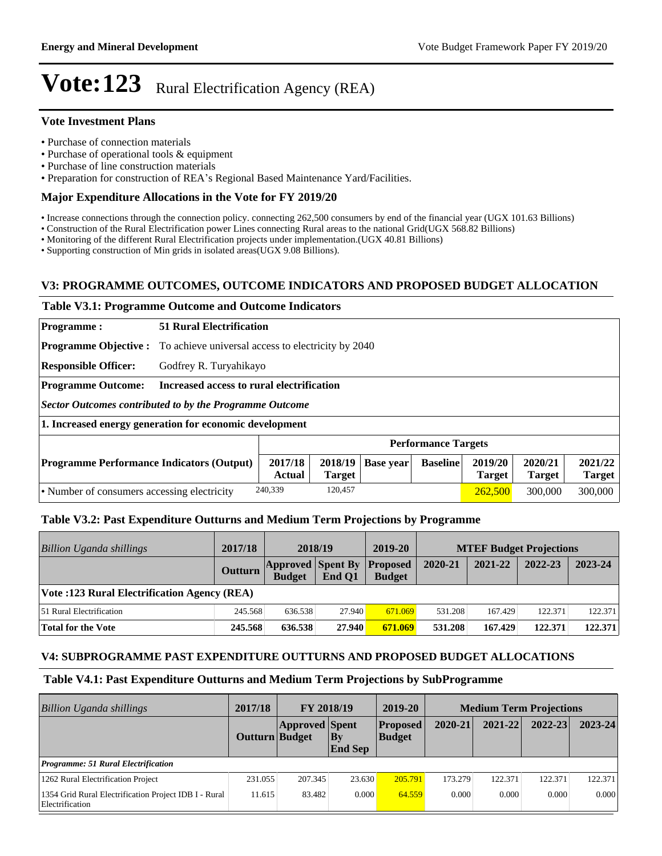#### **Vote Investment Plans**

- Purchase of connection materials
- Purchase of operational tools & equipment
- Purchase of line construction materials
- Preparation for construction of REA's Regional Based Maintenance Yard/Facilities.

#### **Major Expenditure Allocations in the Vote for FY 2019/20**

- Increase connections through the connection policy. connecting 262,500 consumers by end of the financial year (UGX 101.63 Billions)
- Construction of the Rural Electrification power Lines connecting Rural areas to the national Grid(UGX 568.82 Billions)
- Monitoring of the different Rural Electrification projects under implementation.(UGX 40.81 Billions)

Supporting construction of Min grids in isolated areas(UGX 9.08 Billions).

#### **V3: PROGRAMME OUTCOMES, OUTCOME INDICATORS AND PROPOSED BUDGET ALLOCATION**

#### **Table V3.1: Programme Outcome and Outcome Indicators**

| <b>Programme:</b>                                       |                                           | <b>51 Rural Electrification</b>                                                 |                          |                  |                            |                          |                          |                          |
|---------------------------------------------------------|-------------------------------------------|---------------------------------------------------------------------------------|--------------------------|------------------|----------------------------|--------------------------|--------------------------|--------------------------|
|                                                         |                                           | <b>Programme Objective :</b> To achieve universal access to electricity by 2040 |                          |                  |                            |                          |                          |                          |
| <b>Responsible Officer:</b>                             |                                           | Godfrey R. Turyahikayo                                                          |                          |                  |                            |                          |                          |                          |
| <b>Programme Outcome:</b>                               | Increased access to rural electrification |                                                                                 |                          |                  |                            |                          |                          |                          |
| Sector Outcomes contributed to by the Programme Outcome |                                           |                                                                                 |                          |                  |                            |                          |                          |                          |
| 1. Increased energy generation for economic development |                                           |                                                                                 |                          |                  |                            |                          |                          |                          |
|                                                         |                                           |                                                                                 |                          |                  | <b>Performance Targets</b> |                          |                          |                          |
| <b>Programme Performance Indicators (Output)</b>        |                                           | 2017/18<br><b>Actual</b>                                                        | 2018/19<br><b>Target</b> | <b>Base year</b> | <b>Baseline</b>            | 2019/20<br><b>Target</b> | 2020/21<br><b>Target</b> | 2021/22<br><b>Target</b> |
| • Number of consumers accessing electricity             |                                           | 240,339                                                                         | 120,457                  |                  |                            | 262,500                  | 300,000                  | 300,000                  |

#### **Table V3.2: Past Expenditure Outturns and Medium Term Projections by Programme**

| Billion Uganda shillings                     | 2017/18 | 2018/19                                   |        | 2019-20                          |         | <b>MTEF Budget Projections</b> |         |         |
|----------------------------------------------|---------|-------------------------------------------|--------|----------------------------------|---------|--------------------------------|---------|---------|
|                                              | Outturn | <b>Approved Spent By</b><br><b>Budget</b> | End O1 | <b>Proposed</b><br><b>Budget</b> | 2020-21 | 2021-22                        | 2022-23 | 2023-24 |
| Vote :123 Rural Electrification Agency (REA) |         |                                           |        |                                  |         |                                |         |         |
| 51 Rural Electrification                     | 245.568 | 636.538                                   | 27.940 | 671.069                          | 531.208 | 167.429                        | 122.371 | 122.371 |
| Total for the Vote                           | 245.568 | 636.538                                   | 27.940 | 671.069                          | 531.208 | 167.429                        | 122.371 | 122.371 |

#### **V4: SUBPROGRAMME PAST EXPENDITURE OUTTURNS AND PROPOSED BUDGET ALLOCATIONS**

#### **Table V4.1: Past Expenditure Outturns and Medium Term Projections by SubProgramme**

| <b>Billion Uganda shillings</b>                                          | 2017/18               | FY 2018/19            |                      | 2019-20                          | <b>Medium Term Projections</b> |             |             |             |
|--------------------------------------------------------------------------|-----------------------|-----------------------|----------------------|----------------------------------|--------------------------------|-------------|-------------|-------------|
|                                                                          | <b>Outturn</b> Budget | <b>Approved Spent</b> | Bv<br><b>End Sep</b> | <b>Proposed</b><br><b>Budget</b> | 2020-21                        | $2021 - 22$ | $2022 - 23$ | $2023 - 24$ |
| <b>Programme: 51 Rural Electrification</b>                               |                       |                       |                      |                                  |                                |             |             |             |
| 1262 Rural Electrification Project                                       | 231.055               | 207.345               | 23.630               | 205.791                          | 173.279                        | 122.371     | 122.371     | 122.371     |
| 1354 Grid Rural Electrification Project IDB I - Rural<br>Electrification | 11.615                | 83.482                | 0.000                | 64.559                           | 0.000                          | 0.000       | 0.000       | 0.000       |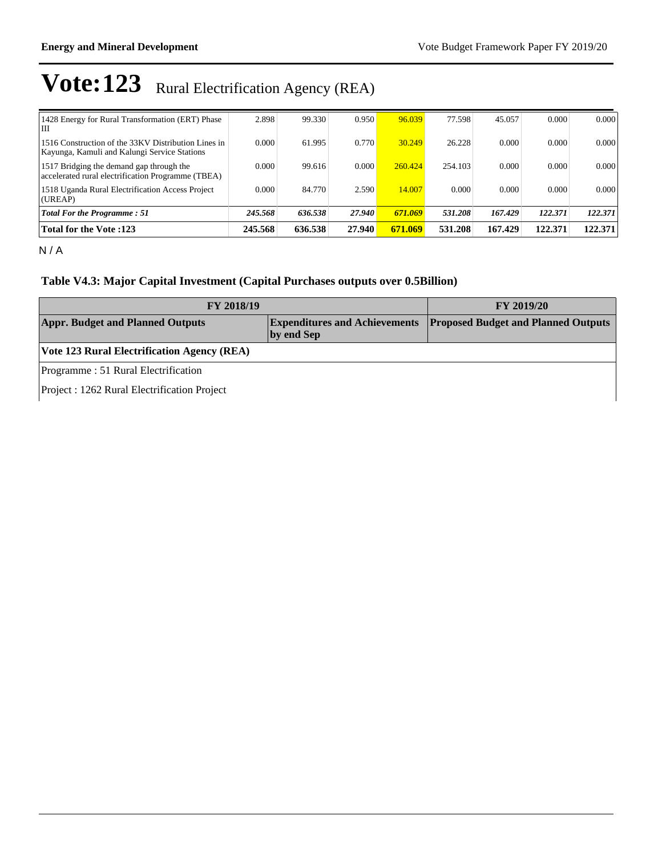| 1428 Energy for Rural Transformation (ERT) Phase<br>III                                             | 2.898   | 99.330  | 0.950  | 96.039  | 77.598  | 45.057  | 0.000   | 0.000   |
|-----------------------------------------------------------------------------------------------------|---------|---------|--------|---------|---------|---------|---------|---------|
| 1516 Construction of the 33KV Distribution Lines in<br>Kayunga, Kamuli and Kalungi Service Stations | 0.000   | 61.995  | 0.770  | 30.249  | 26.228  | 0.000   | 0.000   | 0.000   |
| 1517 Bridging the demand gap through the<br>accelerated rural electrification Programme (TBEA)      | 0.000   | 99.616  | 0.000  | 260.424 | 254.103 | 0.000   | 0.000   | 0.000   |
| 1518 Uganda Rural Electrification Access Project<br>(UREAP)                                         | 0.000   | 84.770  | 2.590  | 14.007  | 0.000   | 0.000   | 0.000   | 0.000   |
| <b>Total For the Programme: 51</b>                                                                  | 245.568 | 636.538 | 27.940 | 671.069 | 531.208 | 167.429 | 122.371 | 122.371 |
| <b>Total for the Vote :123</b>                                                                      | 245.568 | 636.538 | 27.940 | 671.069 | 531.208 | 167.429 | 122.371 | 122.371 |

N / A

### **Table V4.3: Major Capital Investment (Capital Purchases outputs over 0.5Billion)**

| <b>FY 2018/19</b>                            | FY 2019/20                                         |                                            |
|----------------------------------------------|----------------------------------------------------|--------------------------------------------|
| <b>Appr. Budget and Planned Outputs</b>      | <b>Expenditures and Achievements</b><br>by end Sep | <b>Proposed Budget and Planned Outputs</b> |
| Vote 123 Rural Electrification Agency (REA)  |                                                    |                                            |
| Programme: 51 Rural Electrification          |                                                    |                                            |
| Project : 1262 Rural Electrification Project |                                                    |                                            |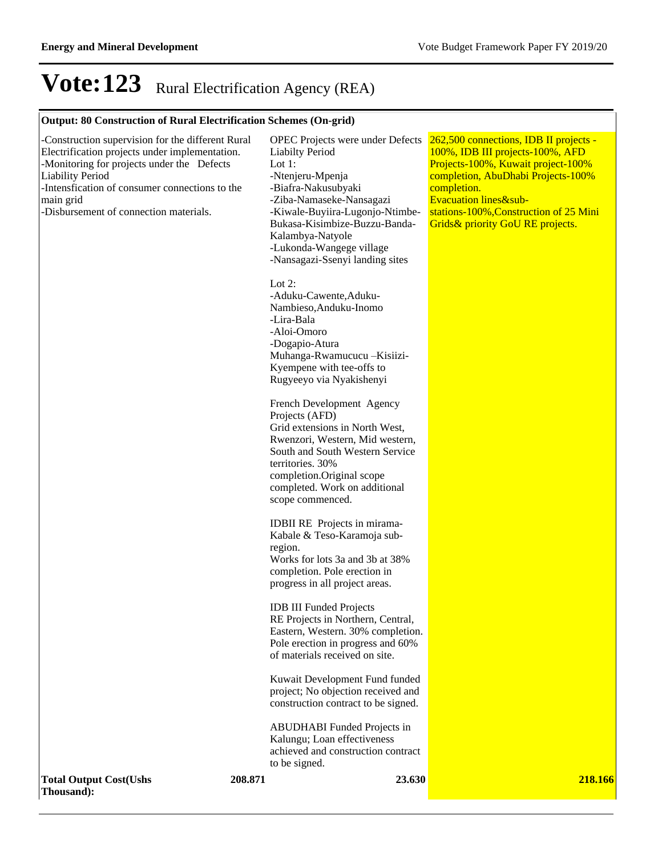### **Output: 80 Construction of Rural Electrification Schemes (On-grid)**

| -Construction supervision for the different Rural<br>Electrification projects under implementation.<br>-Monitoring for projects under the Defects<br><b>Liability Period</b><br>-Intensfication of consumer connections to the<br>main grid<br>-Disbursement of connection materials. |         | <b>OPEC</b> Projects were under Defects<br><b>Liabilty Period</b><br>Lot $1$ :<br>-Ntenjeru-Mpenja<br>-Biafra-Nakusubyaki<br>-Ziba-Namaseke-Nansagazi<br>-Kiwale-Buyiira-Lugonjo-Ntimbe-<br>Bukasa-Kisimbize-Buzzu-Banda-<br>Kalambya-Natyole<br>-Lukonda-Wangege village<br>-Nansagazi-Ssenyi landing sites | 262,500 connections, IDB II projects -<br>100%, IDB III projects-100%, AFD<br>Projects-100%, Kuwait project-100%<br>completion, AbuDhabi Projects-100%<br>completion.<br>Evacuation lines&sub-<br>stations-100%, Construction of 25 Mini<br>Grids & priority GoU RE projects. |
|---------------------------------------------------------------------------------------------------------------------------------------------------------------------------------------------------------------------------------------------------------------------------------------|---------|--------------------------------------------------------------------------------------------------------------------------------------------------------------------------------------------------------------------------------------------------------------------------------------------------------------|-------------------------------------------------------------------------------------------------------------------------------------------------------------------------------------------------------------------------------------------------------------------------------|
|                                                                                                                                                                                                                                                                                       |         | Lot $2$ :<br>-Aduku-Cawente, Aduku-<br>Nambieso, Anduku-Inomo<br>-Lira-Bala<br>-Aloi-Omoro<br>-Dogapio-Atura<br>Muhanga-Rwamucucu - Kisiizi-<br>Kyempene with tee-offs to<br>Rugyeeyo via Nyakishenyi                                                                                                        |                                                                                                                                                                                                                                                                               |
|                                                                                                                                                                                                                                                                                       |         | French Development Agency<br>Projects (AFD)<br>Grid extensions in North West,<br>Rwenzori, Western, Mid western,<br>South and South Western Service<br>territories. 30%<br>completion.Original scope<br>completed. Work on additional<br>scope commenced.                                                    |                                                                                                                                                                                                                                                                               |
|                                                                                                                                                                                                                                                                                       |         | <b>IDBII RE</b> Projects in mirama-<br>Kabale & Teso-Karamoja sub-<br>region.<br>Works for lots 3a and 3b at 38%<br>completion. Pole erection in<br>progress in all project areas.<br><b>IDB III Funded Projects</b>                                                                                         |                                                                                                                                                                                                                                                                               |
|                                                                                                                                                                                                                                                                                       |         | RE Projects in Northern, Central,<br>Eastern, Western. 30% completion.<br>Pole erection in progress and 60%<br>of materials received on site.<br>Kuwait Development Fund funded                                                                                                                              |                                                                                                                                                                                                                                                                               |
|                                                                                                                                                                                                                                                                                       |         | project; No objection received and<br>construction contract to be signed.<br><b>ABUDHABI</b> Funded Projects in<br>Kalungu; Loan effectiveness<br>achieved and construction contract<br>to be signed.                                                                                                        |                                                                                                                                                                                                                                                                               |
| <b>Total Output Cost(Ushs</b><br>Thousand):                                                                                                                                                                                                                                           | 208.871 | 23.630                                                                                                                                                                                                                                                                                                       | 218.166                                                                                                                                                                                                                                                                       |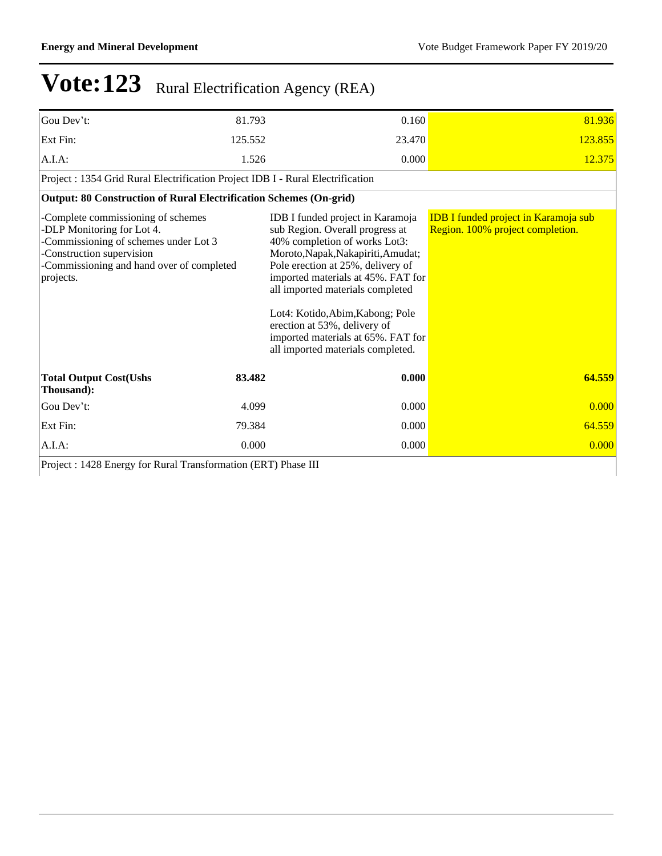| Gou Dev't:                                                                                                                                                                                       | 81.793  | 0.160                                                                                                                                                                                                                                                                                                                                                                                                    | 81.936                                                                          |
|--------------------------------------------------------------------------------------------------------------------------------------------------------------------------------------------------|---------|----------------------------------------------------------------------------------------------------------------------------------------------------------------------------------------------------------------------------------------------------------------------------------------------------------------------------------------------------------------------------------------------------------|---------------------------------------------------------------------------------|
| Ext Fin:                                                                                                                                                                                         | 125.552 | 23.470                                                                                                                                                                                                                                                                                                                                                                                                   | 123.855                                                                         |
| A.I.A.                                                                                                                                                                                           | 1.526   | 0.000                                                                                                                                                                                                                                                                                                                                                                                                    | 12.375                                                                          |
| Project : 1354 Grid Rural Electrification Project IDB I - Rural Electrification                                                                                                                  |         |                                                                                                                                                                                                                                                                                                                                                                                                          |                                                                                 |
| Output: 80 Construction of Rural Electrification Schemes (On-grid)                                                                                                                               |         |                                                                                                                                                                                                                                                                                                                                                                                                          |                                                                                 |
| -Complete commissioning of schemes<br>-DLP Monitoring for Lot 4.<br>-Commissioning of schemes under Lot 3<br>-Construction supervision<br>-Commissioning and hand over of completed<br>projects. |         | IDB I funded project in Karamoja<br>sub Region. Overall progress at<br>40% completion of works Lot3:<br>Moroto, Napak, Nakapiriti, Amudat;<br>Pole erection at 25%, delivery of<br>imported materials at 45%. FAT for<br>all imported materials completed<br>Lot4: Kotido, Abim, Kabong; Pole<br>erection at 53%, delivery of<br>imported materials at 65%. FAT for<br>all imported materials completed. | <b>IDB I funded project in Karamoja sub</b><br>Region. 100% project completion. |
| <b>Total Output Cost(Ushs</b><br>Thousand):                                                                                                                                                      | 83.482  | 0.000                                                                                                                                                                                                                                                                                                                                                                                                    | 64.559                                                                          |
| Gou Dev't:                                                                                                                                                                                       | 4.099   | 0.000                                                                                                                                                                                                                                                                                                                                                                                                    | 0.000                                                                           |
| Ext Fin:                                                                                                                                                                                         | 79.384  | 0.000                                                                                                                                                                                                                                                                                                                                                                                                    | 64.559                                                                          |
| A.I.A.                                                                                                                                                                                           | 0.000   | 0.000                                                                                                                                                                                                                                                                                                                                                                                                    | 0.000                                                                           |

Project : 1428 Energy for Rural Transformation (ERT) Phase III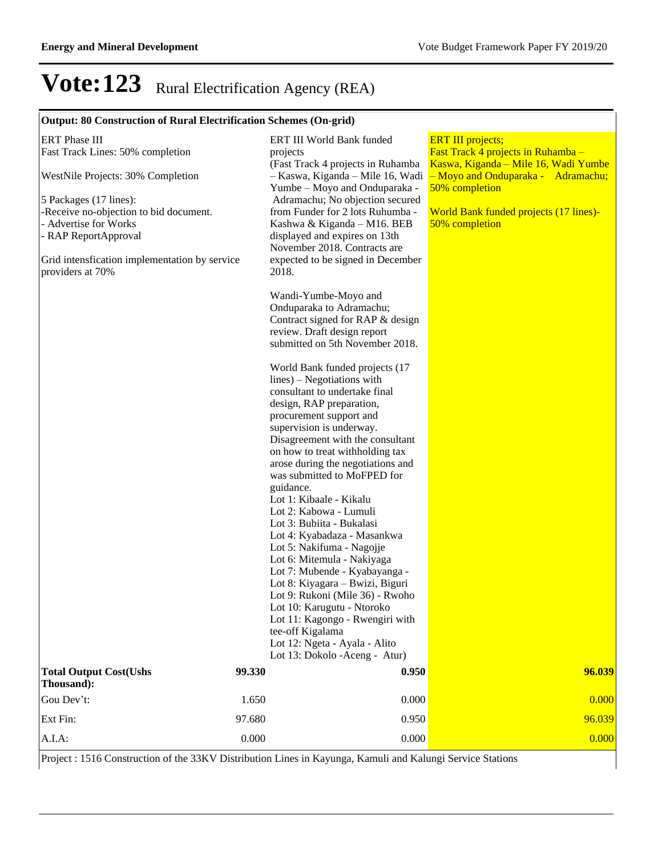### **Output: 80 Construction of Rural Electrification Schemes (On-grid)**

| <b>ERT</b> Phase III<br>Fast Track Lines: 50% completion<br>WestNile Projects: 30% Completion<br>5 Packages (17 lines):<br>-Receive no-objection to bid document.<br>- Advertise for Works<br>- RAP ReportApproval<br>Grid intensfication implementation by service<br>providers at 70% |        | ERT III World Bank funded<br>projects<br>(Fast Track 4 projects in Ruhamba<br>- Kaswa, Kiganda - Mile 16, Wadi<br>Yumbe - Moyo and Onduparaka -<br>Adramachu; No objection secured<br>from Funder for 2 lots Ruhumba -<br>Kashwa & Kiganda - M16. BEB<br>displayed and expires on 13th<br>November 2018. Contracts are<br>expected to be signed in December<br>2018.                                                                                                                                                                                                                                                                                                                                                                                                                   | <b>ERT III</b> projects;<br>Fast Track 4 projects in Ruhamba -<br>Kaswa, Kiganda – Mile 16, Wadi Yumbe<br>- Moyo and Onduparaka - Adramachu;<br>50% completion<br><b>World Bank funded projects (17 lines)-</b><br>50% completion |
|-----------------------------------------------------------------------------------------------------------------------------------------------------------------------------------------------------------------------------------------------------------------------------------------|--------|----------------------------------------------------------------------------------------------------------------------------------------------------------------------------------------------------------------------------------------------------------------------------------------------------------------------------------------------------------------------------------------------------------------------------------------------------------------------------------------------------------------------------------------------------------------------------------------------------------------------------------------------------------------------------------------------------------------------------------------------------------------------------------------|-----------------------------------------------------------------------------------------------------------------------------------------------------------------------------------------------------------------------------------|
|                                                                                                                                                                                                                                                                                         |        | Wandi-Yumbe-Moyo and<br>Onduparaka to Adramachu;<br>Contract signed for RAP & design<br>review. Draft design report<br>submitted on 5th November 2018.                                                                                                                                                                                                                                                                                                                                                                                                                                                                                                                                                                                                                                 |                                                                                                                                                                                                                                   |
|                                                                                                                                                                                                                                                                                         |        | World Bank funded projects (17<br>$lines$ ) – Negotiations with<br>consultant to undertake final<br>design, RAP preparation,<br>procurement support and<br>supervision is underway.<br>Disagreement with the consultant<br>on how to treat withholding tax<br>arose during the negotiations and<br>was submitted to MoFPED for<br>guidance.<br>Lot 1: Kibaale - Kikalu<br>Lot 2: Kabowa - Lumuli<br>Lot 3: Bubiita - Bukalasi<br>Lot 4: Kyabadaza - Masankwa<br>Lot 5: Nakifuma - Nagojje<br>Lot 6: Mitemula - Nakiyaga<br>Lot 7: Mubende - Kyabayanga -<br>Lot 8: Kiyagara - Bwizi, Biguri<br>Lot 9: Rukoni (Mile 36) - Rwoho<br>Lot 10: Karugutu - Ntoroko<br>Lot 11: Kagongo - Rwengiri with<br>tee-off Kigalama<br>Lot 12: Ngeta - Ayala - Alito<br>Lot 13: Dokolo - Aceng - Atur) |                                                                                                                                                                                                                                   |
| <b>Total Output Cost(Ushs</b><br>Thousand):                                                                                                                                                                                                                                             | 99.330 | 0.950                                                                                                                                                                                                                                                                                                                                                                                                                                                                                                                                                                                                                                                                                                                                                                                  | 96.039                                                                                                                                                                                                                            |
| Gou Dev't:                                                                                                                                                                                                                                                                              | 1.650  | 0.000                                                                                                                                                                                                                                                                                                                                                                                                                                                                                                                                                                                                                                                                                                                                                                                  | 0.000                                                                                                                                                                                                                             |
| Ext Fin:                                                                                                                                                                                                                                                                                | 97.680 | 0.950                                                                                                                                                                                                                                                                                                                                                                                                                                                                                                                                                                                                                                                                                                                                                                                  | 96.039                                                                                                                                                                                                                            |
| A.I.A:                                                                                                                                                                                                                                                                                  | 0.000  | 0.000                                                                                                                                                                                                                                                                                                                                                                                                                                                                                                                                                                                                                                                                                                                                                                                  | 0.000                                                                                                                                                                                                                             |

Project : 1516 Construction of the 33KV Distribution Lines in Kayunga, Kamuli and Kalungi Service Stations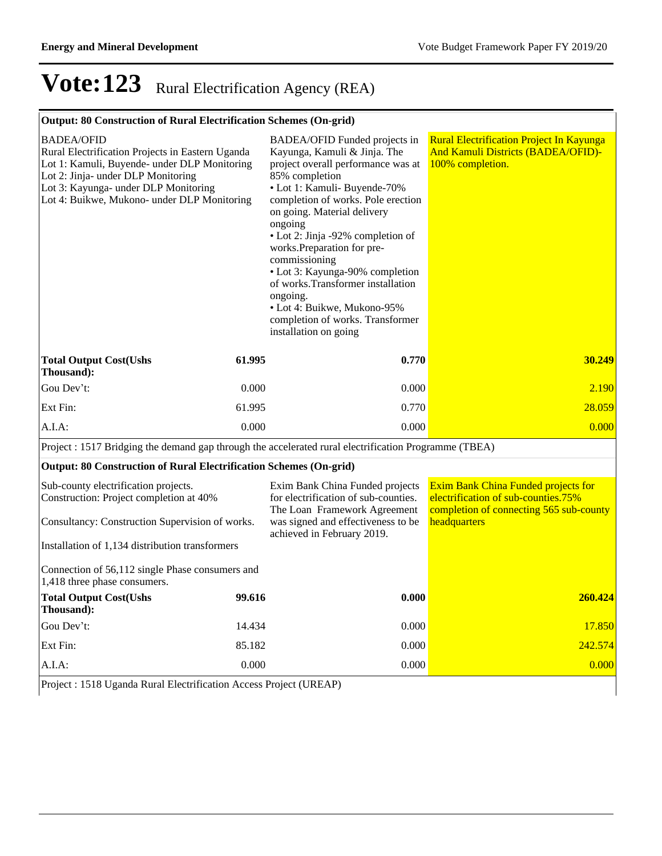### **Output: 80 Construction of Rural Electrification Schemes (On-grid)**

| <b>BADEA/OFID</b><br>Rural Electrification Projects in Eastern Uganda<br>Lot 1: Kamuli, Buyende- under DLP Monitoring<br>Lot 2: Jinja- under DLP Monitoring<br>Lot 3: Kayunga- under DLP Monitoring<br>Lot 4: Buikwe, Mukono- under DLP Monitoring |        | BADEA/OFID Funded projects in<br>Kayunga, Kamuli & Jinja. The<br>project overall performance was at<br>85% completion<br>• Lot 1: Kamuli- Buyende-70%<br>completion of works. Pole erection<br>on going. Material delivery<br>ongoing<br>• Lot 2: Jinja -92% completion of<br>works. Preparation for pre-<br>commissioning<br>• Lot 3: Kayunga-90% completion<br>of works.Transformer installation<br>ongoing.<br>• Lot 4: Buikwe, Mukono-95%<br>completion of works. Transformer<br>installation on going | <b>Rural Electrification Project In Kayunga</b><br><b>And Kamuli Districts (BADEA/OFID)-</b><br>100% completion.      |
|----------------------------------------------------------------------------------------------------------------------------------------------------------------------------------------------------------------------------------------------------|--------|------------------------------------------------------------------------------------------------------------------------------------------------------------------------------------------------------------------------------------------------------------------------------------------------------------------------------------------------------------------------------------------------------------------------------------------------------------------------------------------------------------|-----------------------------------------------------------------------------------------------------------------------|
| <b>Total Output Cost(Ushs</b><br>Thousand):                                                                                                                                                                                                        | 61.995 | 0.770                                                                                                                                                                                                                                                                                                                                                                                                                                                                                                      | 30.249                                                                                                                |
| Gou Dev't:                                                                                                                                                                                                                                         | 0.000  | 0.000                                                                                                                                                                                                                                                                                                                                                                                                                                                                                                      | 2.190                                                                                                                 |
| Ext Fin:                                                                                                                                                                                                                                           | 61.995 | 0.770                                                                                                                                                                                                                                                                                                                                                                                                                                                                                                      | 28.059                                                                                                                |
| A.I.A:                                                                                                                                                                                                                                             | 0.000  | 0.000                                                                                                                                                                                                                                                                                                                                                                                                                                                                                                      | 0.000                                                                                                                 |
| Project : 1517 Bridging the demand gap through the accelerated rural electrification Programme (TBEA)                                                                                                                                              |        |                                                                                                                                                                                                                                                                                                                                                                                                                                                                                                            |                                                                                                                       |
| <b>Output: 80 Construction of Rural Electrification Schemes (On-grid)</b>                                                                                                                                                                          |        |                                                                                                                                                                                                                                                                                                                                                                                                                                                                                                            |                                                                                                                       |
| Sub-county electrification projects.<br>Construction: Project completion at 40%                                                                                                                                                                    |        | Exim Bank China Funded projects<br>for electrification of sub-counties.<br>The Loan Framework Agreement                                                                                                                                                                                                                                                                                                                                                                                                    | Exim Bank China Funded projects for<br>electrification of sub-counties.75%<br>completion of connecting 565 sub-county |
| Consultancy: Construction Supervision of works.                                                                                                                                                                                                    |        | was signed and effectiveness to be<br>achieved in February 2019.                                                                                                                                                                                                                                                                                                                                                                                                                                           | headquarters                                                                                                          |
| Installation of 1,134 distribution transformers                                                                                                                                                                                                    |        |                                                                                                                                                                                                                                                                                                                                                                                                                                                                                                            |                                                                                                                       |
| Connection of 56,112 single Phase consumers and<br>1,418 three phase consumers.                                                                                                                                                                    |        |                                                                                                                                                                                                                                                                                                                                                                                                                                                                                                            |                                                                                                                       |
| <b>Total Output Cost(Ushs</b><br>Thousand):                                                                                                                                                                                                        | 99.616 | 0.000                                                                                                                                                                                                                                                                                                                                                                                                                                                                                                      | 260.424                                                                                                               |
| Gou Dev't:                                                                                                                                                                                                                                         | 14.434 | 0.000                                                                                                                                                                                                                                                                                                                                                                                                                                                                                                      | 17.850                                                                                                                |
| Ext Fin:                                                                                                                                                                                                                                           | 85.182 | 0.000                                                                                                                                                                                                                                                                                                                                                                                                                                                                                                      | 242.574                                                                                                               |
| A.I.A:                                                                                                                                                                                                                                             | 0.000  | 0.000                                                                                                                                                                                                                                                                                                                                                                                                                                                                                                      | 0.000                                                                                                                 |
| Project : 1518 Uganda Rural Electrification Access Project (UREAP)                                                                                                                                                                                 |        |                                                                                                                                                                                                                                                                                                                                                                                                                                                                                                            |                                                                                                                       |